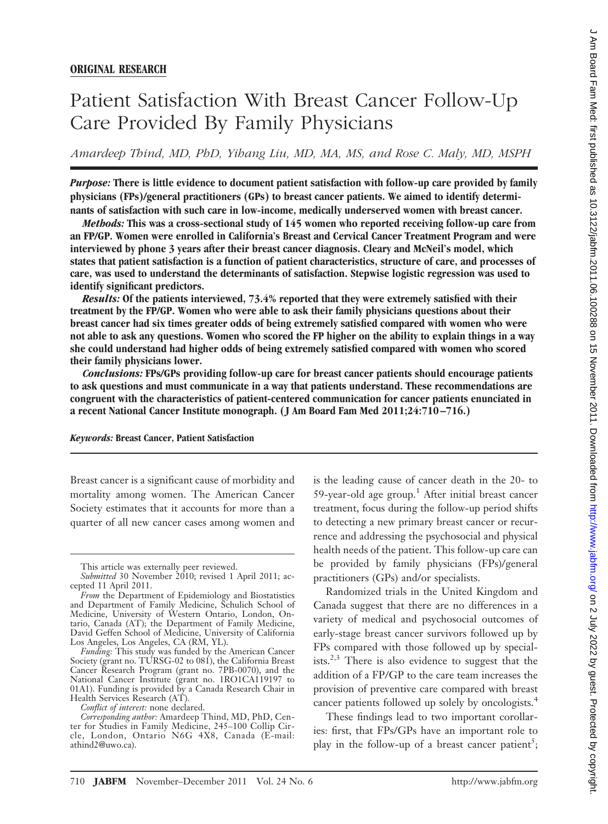# Patient Satisfaction With Breast Cancer Follow-Up Care Provided By Family Physicians

*Amardeep Thind, MD, PhD, Yihang Liu, MD, MA, MS, and Rose C. Maly, MD, MSPH*

*Purpose:* **There is little evidence to document patient satisfaction with follow-up care provided by family physicians (FPs)/general practitioners (GPs) to breast cancer patients. We aimed to identify determinants of satisfaction with such care in low-income, medically underserved women with breast cancer.**

*Methods:* **This was a cross-sectional study of 145 women who reported receiving follow-up care from an FP/GP. Women were enrolled in California's Breast and Cervical Cancer Treatment Program and were interviewed by phone 3 years after their breast cancer diagnosis. Cleary and McNeil's model, which states that patient satisfaction is a function of patient characteristics, structure of care, and processes of care, was used to understand the determinants of satisfaction. Stepwise logistic regression was used to identify significant predictors.**

*Results:* **Of the patients interviewed, 73.4% reported that they were extremely satisfied with their treatment by the FP/GP. Women who were able to ask their family physicians questions about their breast cancer had six times greater odds of being extremely satisfied compared with women who were not able to ask any questions. Women who scored the FP higher on the ability to explain things in a way she could understand had higher odds of being extremely satisfied compared with women who scored their family physicians lower.**

*Conclusions:* **FPs/GPs providing follow-up care for breast cancer patients should encourage patients to ask questions and must communicate in a way that patients understand. These recommendations are congruent with the characteristics of patient-centered communication for cancer patients enunciated in a recent National Cancer Institute monograph. (J Am Board Fam Med 2011;24:710–716.)**

#### *Keywords:* **Breast Cancer, Patient Satisfaction**

Breast cancer is a significant cause of morbidity and mortality among women. The American Cancer Society estimates that it accounts for more than a quarter of all new cancer cases among women and

*Conflict of interest:* none declared.

is the leading cause of cancer death in the 20- to  $59$ -year-old age group.<sup>1</sup> After initial breast cancer treatment, focus during the follow-up period shifts to detecting a new primary breast cancer or recurrence and addressing the psychosocial and physical health needs of the patient. This follow-up care can be provided by family physicians (FPs)/general practitioners (GPs) and/or specialists.

Randomized trials in the United Kingdom and Canada suggest that there are no differences in a variety of medical and psychosocial outcomes of early-stage breast cancer survivors followed up by FPs compared with those followed up by specialists.<sup>2,3</sup> There is also evidence to suggest that the addition of a FP/GP to the care team increases the provision of preventive care compared with breast cancer patients followed up solely by oncologists.4

These findings lead to two important corollaries: first, that FPs/GPs have an important role to play in the follow-up of a breast cancer patient<sup>5</sup>;

This article was externally peer reviewed.

*Submitted* 30 November 2010; revised 1 April 2011; accepted 11 April 2011.

*From* the Department of Epidemiology and Biostatistics and Department of Family Medicine, Schulich School of Medicine, University of Western Ontario, London, Ontario, Canada (AT); the Department of Family Medicine, David Geffen School of Medicine, University of California Los Angeles, Los Angeles, CA (RM, YL).

*Funding:* This study was funded by the American Cancer Society (grant no. TURSG-02 to 081), the California Breast Cancer Research Program (grant no. 7PB-0070), and the National Cancer Institute (grant no. 1RO1CA119197 to 01A1). Funding is provided by a Canada Research Chair in Health Services Research (AT).

*Corresponding author:* Amardeep Thind, MD, PhD, Center for Studies in Family Medicine, 245–100 Collip Circle, London, Ontario N6G 4X8, Canada (E-mail: athind2@uwo.ca).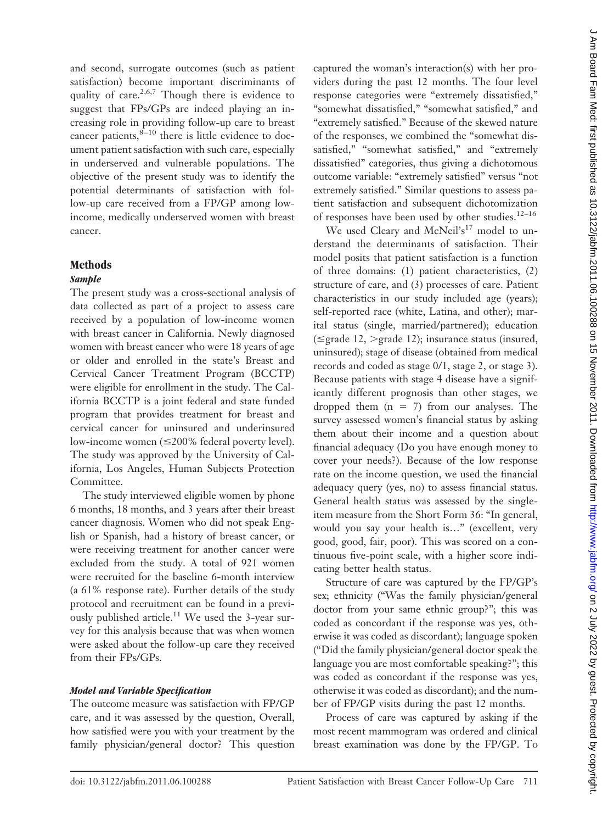and second, surrogate outcomes (such as patient satisfaction) become important discriminants of quality of care.<sup>2,6,7</sup> Though there is evidence to suggest that FPs/GPs are indeed playing an increasing role in providing follow-up care to breast cancer patients, $8-10$  there is little evidence to document patient satisfaction with such care, especially in underserved and vulnerable populations. The objective of the present study was to identify the potential determinants of satisfaction with follow-up care received from a FP/GP among lowincome, medically underserved women with breast cancer.

## **Methods**

## *Sample*

The present study was a cross-sectional analysis of data collected as part of a project to assess care received by a population of low-income women with breast cancer in California. Newly diagnosed women with breast cancer who were 18 years of age or older and enrolled in the state's Breast and Cervical Cancer Treatment Program (BCCTP) were eligible for enrollment in the study. The California BCCTP is a joint federal and state funded program that provides treatment for breast and cervical cancer for uninsured and underinsured low-income women  $(\leq 200\%$  federal poverty level). The study was approved by the University of California, Los Angeles, Human Subjects Protection Committee.

The study interviewed eligible women by phone 6 months, 18 months, and 3 years after their breast cancer diagnosis. Women who did not speak English or Spanish, had a history of breast cancer, or were receiving treatment for another cancer were excluded from the study. A total of 921 women were recruited for the baseline 6-month interview (a 61% response rate). Further details of the study protocol and recruitment can be found in a previously published article.<sup>11</sup> We used the 3-year survey for this analysis because that was when women were asked about the follow-up care they received from their FPs/GPs.

### *Model and Variable Specification*

The outcome measure was satisfaction with FP/GP care, and it was assessed by the question, Overall, how satisfied were you with your treatment by the family physician/general doctor? This question

captured the woman's interaction(s) with her providers during the past 12 months. The four level response categories were "extremely dissatisfied," "somewhat dissatisfied," "somewhat satisfied," and "extremely satisfied." Because of the skewed nature of the responses, we combined the "somewhat dissatisfied," "somewhat satisfied," and "extremely dissatisfied" categories, thus giving a dichotomous outcome variable: "extremely satisfied" versus "not extremely satisfied." Similar questions to assess patient satisfaction and subsequent dichotomization of responses have been used by other studies. $12-16$ 

We used Cleary and McNeil's<sup>17</sup> model to understand the determinants of satisfaction. Their model posits that patient satisfaction is a function of three domains: (1) patient characteristics, (2) structure of care, and (3) processes of care. Patient characteristics in our study included age (years); self-reported race (white, Latina, and other); marital status (single, married/partnered); education ( $\leq$ grade 12,  $>$ grade 12); insurance status (insured, uninsured); stage of disease (obtained from medical records and coded as stage 0/1, stage 2, or stage 3). Because patients with stage 4 disease have a significantly different prognosis than other stages, we dropped them  $(n = 7)$  from our analyses. The survey assessed women's financial status by asking them about their income and a question about financial adequacy (Do you have enough money to cover your needs?). Because of the low response rate on the income question, we used the financial adequacy query (yes, no) to assess financial status. General health status was assessed by the singleitem measure from the Short Form 36: "In general, would you say your health is…" (excellent, very good, good, fair, poor). This was scored on a continuous five-point scale, with a higher score indicating better health status.

Structure of care was captured by the FP/GP's sex; ethnicity ("Was the family physician/general doctor from your same ethnic group?"; this was coded as concordant if the response was yes, otherwise it was coded as discordant); language spoken ("Did the family physician/general doctor speak the language you are most comfortable speaking?"; this was coded as concordant if the response was yes, otherwise it was coded as discordant); and the number of FP/GP visits during the past 12 months.

Process of care was captured by asking if the most recent mammogram was ordered and clinical breast examination was done by the FP/GP. To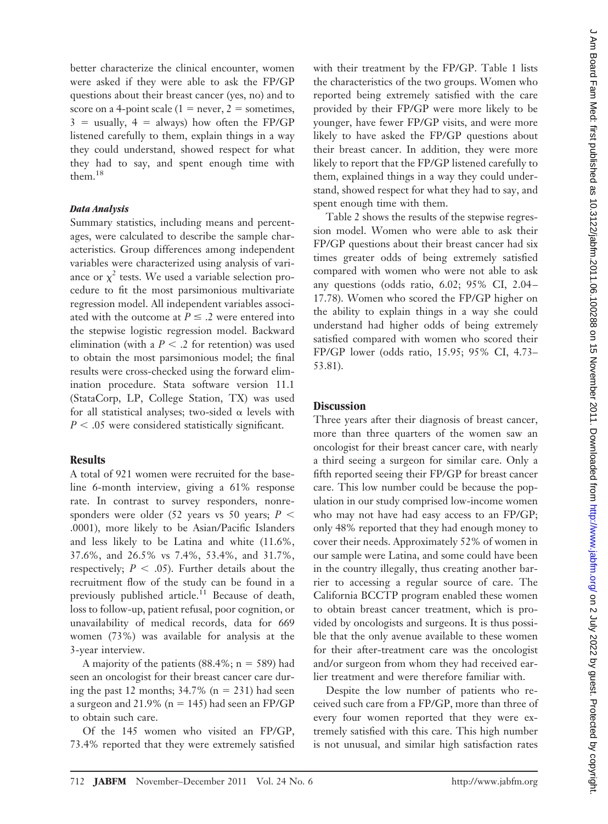better characterize the clinical encounter, women were asked if they were able to ask the FP/GP questions about their breast cancer (yes, no) and to score on a 4-point scale  $(1 = never, 2 = sometimes,$  $3 =$  usually,  $4 =$  always) how often the FP/GP listened carefully to them, explain things in a way they could understand, showed respect for what they had to say, and spent enough time with them.<sup>18</sup>

### *Data Analysis*

Summary statistics, including means and percentages, were calculated to describe the sample characteristics. Group differences among independent variables were characterized using analysis of variance or  $\chi^2$  tests. We used a variable selection procedure to fit the most parsimonious multivariate regression model. All independent variables associated with the outcome at  $P \leq .2$  were entered into the stepwise logistic regression model. Backward elimination (with a  $P < .2$  for retention) was used to obtain the most parsimonious model; the final results were cross-checked using the forward elimination procedure. Stata software version 11.1 (StataCorp, LP, College Station, TX) was used for all statistical analyses; two-sided  $\alpha$  levels with  $P < .05$  were considered statistically significant.

## **Results**

A total of 921 women were recruited for the baseline 6-month interview, giving a 61% response rate. In contrast to survey responders, nonresponders were older (52 years vs 50 years;  $P <$ .0001), more likely to be Asian/Pacific Islanders and less likely to be Latina and white (11.6%, 37.6%, and 26.5% vs 7.4%, 53.4%, and 31.7%, respectively;  $P < .05$ ). Further details about the recruitment flow of the study can be found in a previously published article.<sup>11</sup> Because of death, loss to follow-up, patient refusal, poor cognition, or unavailability of medical records, data for 669 women (73%) was available for analysis at the 3-year interview.

A majority of the patients  $(88.4\%; n = 589)$  had seen an oncologist for their breast cancer care during the past 12 months;  $34.7\%$  (n = 231) had seen a surgeon and 21.9% (n = 145) had seen an FP/GP to obtain such care.

Of the 145 women who visited an FP/GP, 73.4% reported that they were extremely satisfied

with their treatment by the FP/GP. Table 1 lists the characteristics of the two groups. Women who reported being extremely satisfied with the care provided by their FP/GP were more likely to be younger, have fewer FP/GP visits, and were more likely to have asked the FP/GP questions about their breast cancer. In addition, they were more likely to report that the FP/GP listened carefully to them, explained things in a way they could understand, showed respect for what they had to say, and spent enough time with them.

Table 2 shows the results of the stepwise regression model. Women who were able to ask their FP/GP questions about their breast cancer had six times greater odds of being extremely satisfied compared with women who were not able to ask any questions (odds ratio, 6.02; 95% CI, 2.04 – 17.78). Women who scored the FP/GP higher on the ability to explain things in a way she could understand had higher odds of being extremely satisfied compared with women who scored their FP/GP lower (odds ratio, 15.95; 95% CI, 4.73– 53.81).

## **Discussion**

Three years after their diagnosis of breast cancer, more than three quarters of the women saw an oncologist for their breast cancer care, with nearly a third seeing a surgeon for similar care. Only a fifth reported seeing their FP/GP for breast cancer care. This low number could be because the population in our study comprised low-income women who may not have had easy access to an FP/GP; only 48% reported that they had enough money to cover their needs. Approximately 52% of women in our sample were Latina, and some could have been in the country illegally, thus creating another barrier to accessing a regular source of care. The California BCCTP program enabled these women to obtain breast cancer treatment, which is provided by oncologists and surgeons. It is thus possible that the only avenue available to these women for their after-treatment care was the oncologist and/or surgeon from whom they had received earlier treatment and were therefore familiar with.

Despite the low number of patients who received such care from a FP/GP, more than three of every four women reported that they were extremely satisfied with this care. This high number is not unusual, and similar high satisfaction rates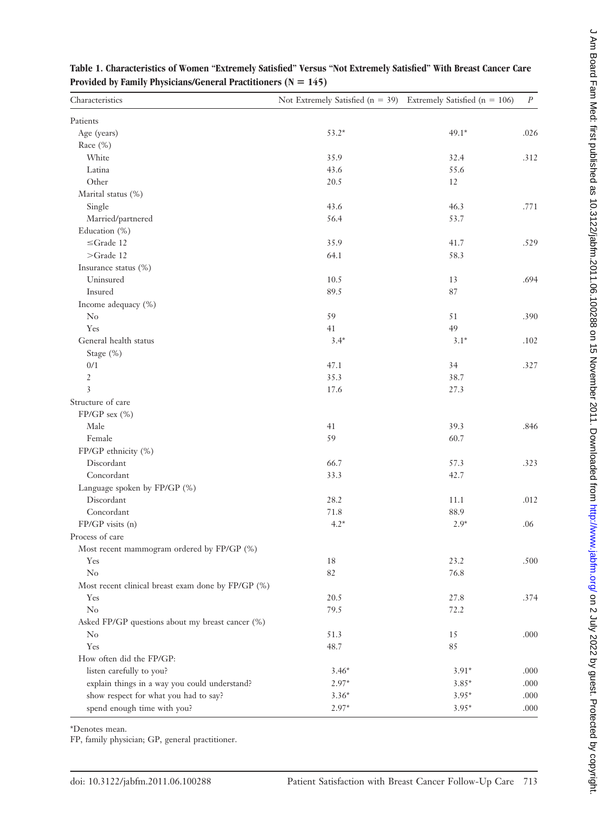| Characteristics                                    | Not Extremely Satisfied ( $n = 39$ ) Extremely Satisfied ( $n = 106$ ) |         | $\boldsymbol{P}$ |
|----------------------------------------------------|------------------------------------------------------------------------|---------|------------------|
| Patients                                           |                                                                        |         |                  |
| Age (years)                                        | 53.2*                                                                  | $49.1*$ | .026             |
| Race (%)                                           |                                                                        |         |                  |
| White                                              | 35.9                                                                   | 32.4    | .312             |
| Latina                                             | 43.6                                                                   | 55.6    |                  |
| Other                                              | 20.5                                                                   | 12      |                  |
| Marital status (%)                                 |                                                                        |         |                  |
| Single                                             | 43.6                                                                   | 46.3    | .771             |
| Married/partnered                                  | 56.4                                                                   | 53.7    |                  |
| Education (%)                                      |                                                                        |         |                  |
| $\leq$ Grade 12                                    | 35.9                                                                   | 41.7    | .529             |
| >Grade 12                                          | 64.1                                                                   | 58.3    |                  |
| Insurance status (%)                               |                                                                        |         |                  |
| Uninsured                                          | 10.5                                                                   | 13      | .694             |
| Insured                                            | 89.5                                                                   | 87      |                  |
| Income adequacy (%)                                |                                                                        |         |                  |
| No                                                 | 59                                                                     | 51      | .390             |
| Yes                                                | 41                                                                     | 49      |                  |
| General health status                              | $3.4*$                                                                 | $3.1*$  | .102             |
| Stage (%)                                          |                                                                        |         |                  |
| 0/1                                                | 47.1                                                                   | 34      | .327             |
| $\overline{2}$                                     | 35.3                                                                   | 38.7    |                  |
| $\overline{3}$                                     | 17.6                                                                   | 27.3    |                  |
| Structure of care                                  |                                                                        |         |                  |
| $FP/GP$ sex $(\%)$                                 |                                                                        |         |                  |
| Male                                               | 41                                                                     | 39.3    | .846             |
| Female                                             | 59                                                                     | 60.7    |                  |
| FP/GP ethnicity (%)                                |                                                                        |         |                  |
| Discordant                                         | 66.7                                                                   | 57.3    | .323             |
| Concordant                                         | 33.3                                                                   | 42.7    |                  |
| Language spoken by FP/GP (%)                       |                                                                        |         |                  |
| Discordant                                         | 28.2                                                                   | 11.1    | .012             |
| Concordant                                         | 71.8                                                                   | 88.9    |                  |
| FP/GP visits (n)                                   | $4.2*$                                                                 | $2.9*$  | .06              |
| Process of care                                    |                                                                        |         |                  |
| Most recent mammogram ordered by FP/GP (%)         |                                                                        |         |                  |
| Yes                                                | 18                                                                     | 23.2    | .500             |
| No                                                 | 82                                                                     | 76.8    |                  |
| Most recent clinical breast exam done by FP/GP (%) |                                                                        |         |                  |
| Yes                                                | 20.5                                                                   | 27.8    | .374             |
| No                                                 | 79.5                                                                   | 72.2    |                  |
| Asked FP/GP questions about my breast cancer (%)   |                                                                        |         |                  |
| No                                                 | 51.3                                                                   | 15      | .000             |
| Yes                                                | 48.7                                                                   | 85      |                  |
| How often did the FP/GP:                           |                                                                        |         |                  |
| listen carefully to you?                           | $3.46*$                                                                | $3.91*$ | .000             |
| explain things in a way you could understand?      | $2.97*$                                                                | $3.85*$ | .000             |
| show respect for what you had to say?              | $3.36*$                                                                | $3.95*$ | .000             |
| spend enough time with you?                        | $2.97*$                                                                | $3.95*$ | .000             |

**Table 1. Characteristics of Women "Extremely Satisfied" Versus "Not Extremely Satisfied" With Breast Cancer Care Provided by Family Physicians/General Practitioners (N 145)**

\*Denotes mean.

FP, family physician; GP, general practitioner.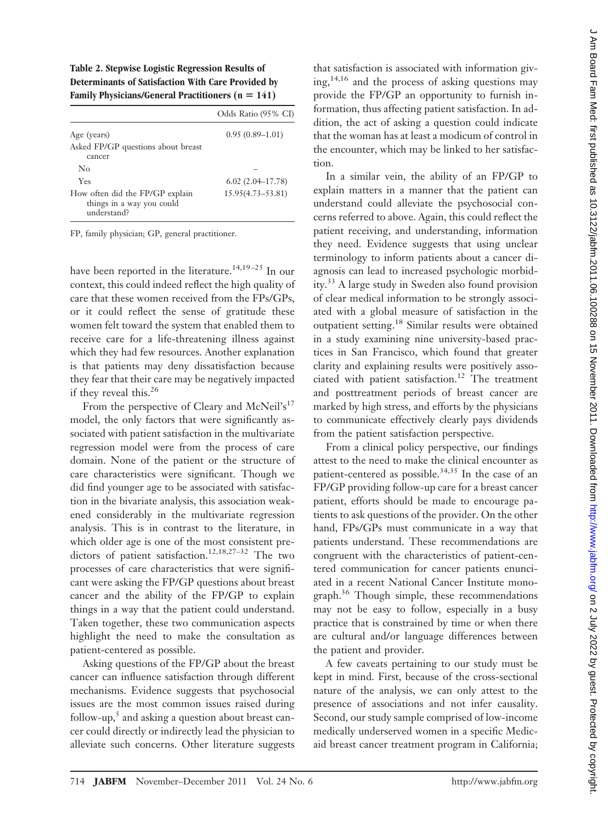**Table 2. Stepwise Logistic Regression Results of Determinants of Satisfaction With Care Provided by Family Physicians/General Practitioners (n 141)**

|                                                                             | Odds Ratio (95% CI)   |
|-----------------------------------------------------------------------------|-----------------------|
| Age (years)                                                                 | $0.95(0.89-1.01)$     |
| Asked FP/GP questions about breast<br>cancer                                |                       |
| $\rm No$                                                                    |                       |
| Yes                                                                         | $6.02(2.04 - 17.78)$  |
| How often did the FP/GP explain<br>things in a way you could<br>understand? | $15.95(4.73 - 53.81)$ |

FP, family physician; GP, general practitioner.

have been reported in the literature.<sup>14,19-25</sup> In our context, this could indeed reflect the high quality of care that these women received from the FPs/GPs, or it could reflect the sense of gratitude these women felt toward the system that enabled them to receive care for a life-threatening illness against which they had few resources. Another explanation is that patients may deny dissatisfaction because they fear that their care may be negatively impacted if they reveal this.26

From the perspective of Cleary and McNeil's<sup>17</sup> model, the only factors that were significantly associated with patient satisfaction in the multivariate regression model were from the process of care domain. None of the patient or the structure of care characteristics were significant. Though we did find younger age to be associated with satisfaction in the bivariate analysis, this association weakened considerably in the multivariate regression analysis. This is in contrast to the literature, in which older age is one of the most consistent predictors of patient satisfaction.<sup>12,18,27–32</sup> The two processes of care characteristics that were significant were asking the FP/GP questions about breast cancer and the ability of the FP/GP to explain things in a way that the patient could understand. Taken together, these two communication aspects highlight the need to make the consultation as patient-centered as possible.

Asking questions of the FP/GP about the breast cancer can influence satisfaction through different mechanisms. Evidence suggests that psychosocial issues are the most common issues raised during follow-up, $<sup>5</sup>$  and asking a question about breast can-</sup> cer could directly or indirectly lead the physician to alleviate such concerns. Other literature suggests

that satisfaction is associated with information giv $ing,^{14,16}$  and the process of asking questions may provide the FP/GP an opportunity to furnish information, thus affecting patient satisfaction. In addition, the act of asking a question could indicate that the woman has at least a modicum of control in the encounter, which may be linked to her satisfaction.

In a similar vein, the ability of an FP/GP to explain matters in a manner that the patient can understand could alleviate the psychosocial concerns referred to above. Again, this could reflect the patient receiving, and understanding, information they need. Evidence suggests that using unclear terminology to inform patients about a cancer diagnosis can lead to increased psychologic morbidity.<sup>33</sup> A large study in Sweden also found provision of clear medical information to be strongly associated with a global measure of satisfaction in the outpatient setting.18 Similar results were obtained in a study examining nine university-based practices in San Francisco, which found that greater clarity and explaining results were positively associated with patient satisfaction.<sup>12</sup> The treatment and posttreatment periods of breast cancer are marked by high stress, and efforts by the physicians to communicate effectively clearly pays dividends from the patient satisfaction perspective.

From a clinical policy perspective, our findings attest to the need to make the clinical encounter as patient-centered as possible.<sup>34,35</sup> In the case of an FP/GP providing follow-up care for a breast cancer patient, efforts should be made to encourage patients to ask questions of the provider. On the other hand, FPs/GPs must communicate in a way that patients understand. These recommendations are congruent with the characteristics of patient-centered communication for cancer patients enunciated in a recent National Cancer Institute monograph.36 Though simple, these recommendations may not be easy to follow, especially in a busy practice that is constrained by time or when there are cultural and/or language differences between the patient and provider.

A few caveats pertaining to our study must be kept in mind. First, because of the cross-sectional nature of the analysis, we can only attest to the presence of associations and not infer causality. Second, our study sample comprised of low-income medically underserved women in a specific Medicaid breast cancer treatment program in California;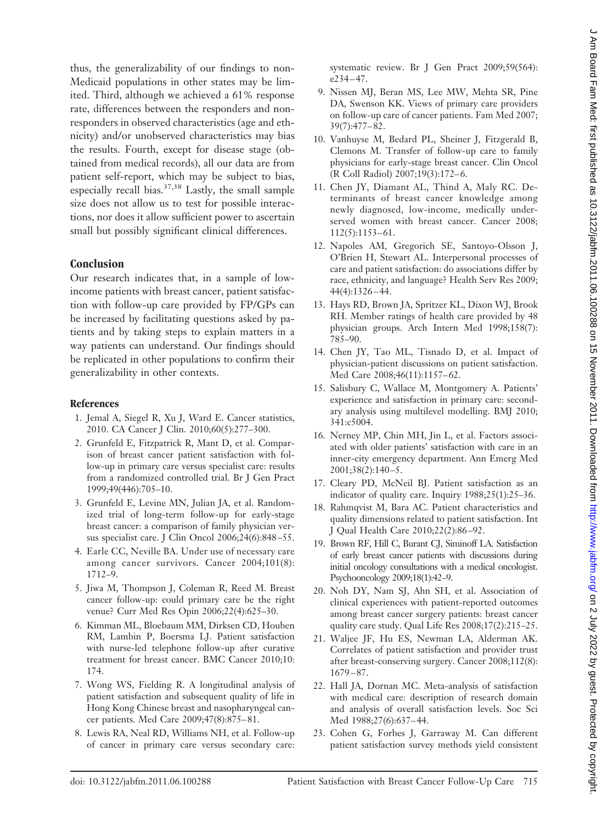thus, the generalizability of our findings to non-Medicaid populations in other states may be limited. Third, although we achieved a 61% response rate, differences between the responders and nonresponders in observed characteristics (age and ethnicity) and/or unobserved characteristics may bias the results. Fourth, except for disease stage (obtained from medical records), all our data are from patient self-report, which may be subject to bias, especially recall bias. $37,38$  Lastly, the small sample size does not allow us to test for possible interactions, nor does it allow sufficient power to ascertain small but possibly significant clinical differences.

## **Conclusion**

Our research indicates that, in a sample of lowincome patients with breast cancer, patient satisfaction with follow-up care provided by FP/GPs can be increased by facilitating questions asked by patients and by taking steps to explain matters in a way patients can understand. Our findings should be replicated in other populations to confirm their generalizability in other contexts.

## **References**

- 1. Jemal A, Siegel R, Xu J, Ward E. Cancer statistics, 2010. CA Cancer J Clin. 2010;60(5):277–300.
- 2. Grunfeld E, Fitzpatrick R, Mant D, et al. Comparison of breast cancer patient satisfaction with follow-up in primary care versus specialist care: results from a randomized controlled trial. Br J Gen Pract 1999;49(446):705–10.
- 3. Grunfeld E, Levine MN, Julian JA, et al. Randomized trial of long-term follow-up for early-stage breast cancer: a comparison of family physician versus specialist care. J Clin Oncol 2006;24(6):848 –55.
- 4. Earle CC, Neville BA. Under use of necessary care among cancer survivors. Cancer 2004;101(8): 1712–9.
- 5. Jiwa M, Thompson J, Coleman R, Reed M. Breast cancer follow-up: could primary care be the right venue? Curr Med Res Opin 2006;22(4):625–30.
- 6. Kimman ML, Bloebaum MM, Dirksen CD, Houben RM, Lambin P, Boersma LJ. Patient satisfaction with nurse-led telephone follow-up after curative treatment for breast cancer. BMC Cancer 2010;10: 174.
- 7. Wong WS, Fielding R. A longitudinal analysis of patient satisfaction and subsequent quality of life in Hong Kong Chinese breast and nasopharyngeal cancer patients. Med Care 2009;47(8):875– 81.
- 8. Lewis RA, Neal RD, Williams NH, et al. Follow-up of cancer in primary care versus secondary care:

systematic review. Br J Gen Pract 2009;59(564): e234 – 47.

- 9. Nissen MJ, Beran MS, Lee MW, Mehta SR, Pine DA, Swenson KK. Views of primary care providers on follow-up care of cancer patients. Fam Med 2007; 39(7):477– 82.
- 10. Vanhuyse M, Bedard PL, Sheiner J, Fitzgerald B, Clemons M. Transfer of follow-up care to family physicians for early-stage breast cancer. Clin Oncol (R Coll Radiol) 2007;19(3):172– 6.
- 11. Chen JY, Diamant AL, Thind A, Maly RC. Determinants of breast cancer knowledge among newly diagnosed, low-income, medically underserved women with breast cancer. Cancer 2008; 112(5):1153– 61.
- 12. Napoles AM, Gregorich SE, Santoyo-Olsson J, O'Brien H, Stewart AL. Interpersonal processes of care and patient satisfaction: do associations differ by race, ethnicity, and language? Health Serv Res 2009; 44(4):1326 – 44.
- 13. Hays RD, Brown JA, Spritzer KL, Dixon WJ, Brook RH. Member ratings of health care provided by 48 physician groups. Arch Intern Med 1998;158(7): 785–90.
- 14. Chen JY, Tao ML, Tisnado D, et al. Impact of physician-patient discussions on patient satisfaction. Med Care 2008;46(11):1157-62.
- 15. Salisbury C, Wallace M, Montgomery A. Patients' experience and satisfaction in primary care: secondary analysis using multilevel modelling. BMJ 2010; 341:c5004.
- 16. Nerney MP, Chin MH, Jin L, et al. Factors associated with older patients' satisfaction with care in an inner-city emergency department. Ann Emerg Med 2001;38(2):140 –5.
- 17. Cleary PD, McNeil BJ. Patient satisfaction as an indicator of quality care. Inquiry 1988;25(1):25–36.
- 18. Rahmqvist M, Bara AC. Patient characteristics and quality dimensions related to patient satisfaction. Int J Qual Health Care 2010;22(2):86 –92.
- 19. Brown RF, Hill C, Burant CJ, Siminoff LA. Satisfaction of early breast cancer patients with discussions during initial oncology consultations with a medical oncologist. Psychooncology 2009;18(1):42–9.
- 20. Noh DY, Nam SJ, Ahn SH, et al. Association of clinical experiences with patient-reported outcomes among breast cancer surgery patients: breast cancer quality care study. Qual Life Res 2008;17(2):215–25.
- 21. Waljee JF, Hu ES, Newman LA, Alderman AK. Correlates of patient satisfaction and provider trust after breast-conserving surgery. Cancer 2008;112(8): 1679 – 87.
- 22. Hall JA, Dornan MC. Meta-analysis of satisfaction with medical care: description of research domain and analysis of overall satisfaction levels. Soc Sci Med 1988;27(6):637– 44.
- 23. Cohen G, Forbes J, Garraway M. Can different patient satisfaction survey methods yield consistent